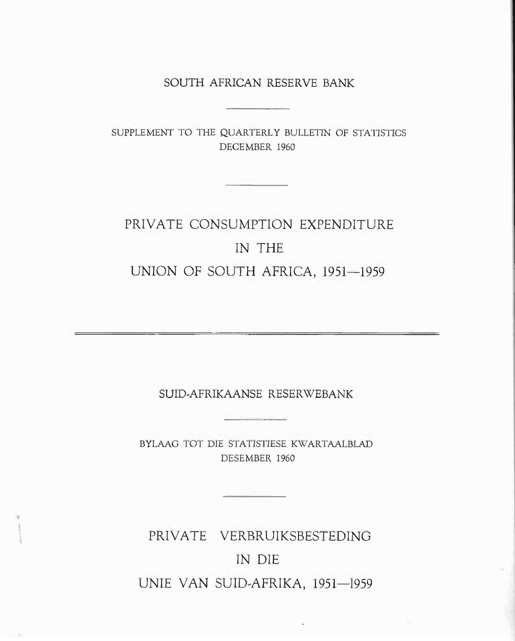SOUTH AFRICAN RESERVE BANK

SUPPLEMENT TO THE QUARTERLY BULLETIN OF STATISTICS DECEMBER 1960

# PRIVATE CONSUMPTION EXPENDITURE IN THE UNION OF SOUTH AFRICA, 1951-1959

SUID,AFRIKAANSE RESERWEBANK

<u> London Maria San A</u>

BYLAAG TOT DIE STATISTIESE KWARTAALBLAD DESEMBER 1960

PRIVATE VERBRUIKSBESTEDING IN DIE UNIE VAN SUID-AFRIKA, 1951-1959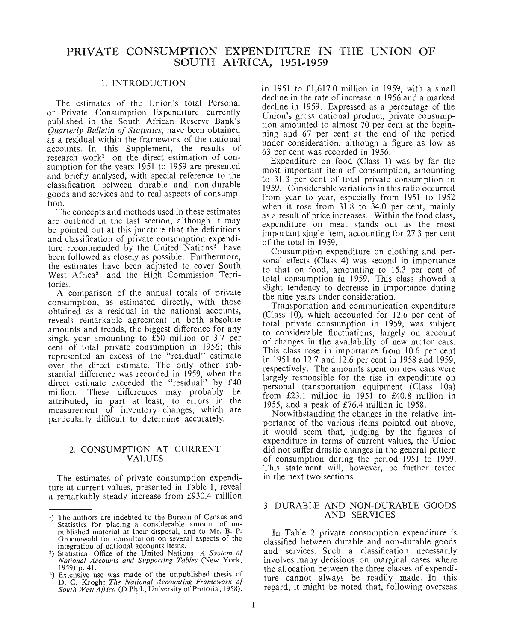# **PRIVATE CONSUMPTION EXPENDITURE IN THE UNION OF SOUTH AFRICA, 1951-1959**

#### 1. INTRODUCTION

The estimates of the Union's total Personal or Private Consumption Expenditure currently published in the South African Reserve Bank's *Quarterly Bulletin of Statistics, have been obtained* as a residual within the framework of the national accounts. In this Supplement, the results of research work<sup>1</sup> on the direct estimation of consumption for the years 1951 to 1959 are presented and briefly analysed, WIth special reference to the classification between durable and non-durable goods and services and to real aspects of consumption.

The concepts and methods used in these estimates are outlined in the last section, although it may be pointed out at this juncture that the definitions and classification of private consumption expenditure recommended by the United Nations<sup>2</sup> have been followed as closely as possible. Furthermore, the estimates have been adjusted to cover South West Africa<sup>3</sup> and the High Commission Territories.

A comparison of the annual totals of private consumption, as estimated directly, With those obtained as a residual in the national accounts, reveals remarkable agreement in both absolute amounts and trends, the biggest difference for any single year amounting to £50 million or 3.7 per cent of total private consumption in 1956; this represented an excess of the "residual" estimate over the direct estimate. The only other substantial difference was recorded in 1959, when the direct estimate exceeded the "residual" by £40 million. These differences may probably be attributed, in part at least, to errors in the measurement of inventory changes, which are particularly difficult to determine accurately.

#### 2. CONSUMPTION AT CURRENT VALUES

The estimates of private consumption expenditure at current values, presented in Table 1, reveal a remarkably steady increase from £930.4 million in 1951 to £1,617.0 million in 1959, with a small decline in the rate of increase in 1956 and a marked decline in 1959. Expressed as a percentage of the Union's gross national product, private consumption amounted to almost 70 per cent at the beginning and 67 per cent at the end of the period under consideration, although a figure as low as 63 per cent was recorded in 1956.

Expenditure on food (Class 1) was by far the most important item of consumption, amounting to 31.3 per cent of total private consumption in 1959. Considerable variations in this ratio occurred from year to year, especially from 1951 to 1952 when it rose from 31.8 to 34.0 per cent, mainly as a result of price increases. Within the food class, expenditure on meat stands out as the most important single item, accounting for 27.3 per cent of the total in 1959.

Consumption expenditure on clothing and personal effects (Class 4) was second in importance to that on food, amounting to 15.3 per cent of total consumption in 1959. This class showed a slight tendency to decrease in importance during the nine years under consideration.

Transportation and communication expenditure (Class  $10$ ), which accounted for 12.6 per cent of total private consumption in 1959, was subject to considerable fluctuations, largely on account of changes in the availability of new motor cars. This class rose in importance from 10.6 per cent in 1951 to 12.7 and 12.6 per cent in 1958 and 1959, respectively. The amounts spent on new cars were largely responsible for the rise in expenditure on personal transportation equipment (Class 10a) from  $£23.1$  million in 1951 to  $£40.8$  million in 1955 and a peak of £76.4 million in 1958.

Notwithstanding the changes in the relative importance of the various items pointed out above, it would seem that, judging by the figures of expenditure in terms of current values, the Union did not suffer drastic changes in the general pattern of consumption during the period 1951 to 1959. This statement will, however, be further tested in the next two sections.

#### 3. DURABLE AND NON-DURABLE GOODS AND SERVICES

In Table 2 private consumption expenditure is classified between durable and nop-durable goods and services. Such a classification necessarily involves many decisions on marginal cases where. the allocation between the three classes of expenditure cannot always be readily made. In this regard, it might be noted that, following overseas

<sup>&</sup>lt;sup>1</sup>) The authors are indebted to the Bureau of Census and The authors are indebted to the Bureau of Census and<br>Statistics for placing a considerable amount of un-<br>published material at their disposal, and to Mr. B. P.<br>Groenewald for consultation on several aspects of the<br>integrat published material at their disposal, and to Mr. B. P.<br>Groenewald for consultation on several aspects of the integration of national accounts items.

<sup>2)</sup> Statistical Office of the Umted. NatIOns: *A System of National Accounts and Supportmg Tables* (New York,

<sup>1959)</sup> p. 41.<br><sup>3</sup>) Extensive use was made of the unpublished thesis of D. C. Krogh: The National Accounting Framework of *South West Africa* (D.Phil., University of Pretoria, 1958).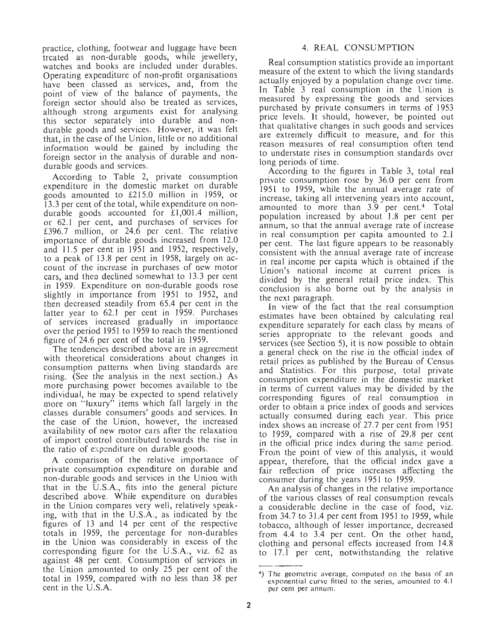practice, clothing, footwear and luggage have been treated' as non-durable goods, while jewellery, watches and books are included under durables. Operating expenditure of non-profit organisations have been classed as services, and, from the point of view of the balance of payments, the foreign sector should also be treated as services, although strong arguments exist for analysing this sector separately into durable and nondurable goods and services. However, it was felt that, in the case of the Union, little or no additional information would be gained by including the foreign sector in the analysis of durable and nondurable goods and services.

According to Table 2, private consumption expenditure in the domestic market on durable goods amounted to £215.0 million in 1959, or 13.3 per cent of the total, while expenditure on nondurable goods accounted for  $\hat{\imath}1,001.4$  million, or 62.1 per cent, and purchases of services for £396.7 million, or 24.6 per cent. The relative importance of durable goods increased from. 12.0 and 11.5 per cent in 1951 and 1952, respectively, to a peak of 13.8 per cent in 1958, largely on account of the increase in purchases of new motor cars, and then declined somewhat to 13.3 per cent in 1959. Expenditure on non-durable goods rose slightly in importance from  $1951$  to  $1952$ , and then decreased steadily from 65.4 per cent in the latter year to 62.1 per cent in 1959. Purchases of services increased gradually In Importance over the period 1951 to 1959 to reach the mentioned figure of  $24.6$  per cent of the total in 1959.

The tendencies described above are in agreement with theoretical considerations about changes in consumption patterns when living standards are rising. (See the analysis in the next section.) As more purchasing power becomes available to the. individual, he may be expected to spend relatively more on "luxury" items which fall largely in the classes durable consumers' goods and services. In the case of the Union, however, the increased availability of new motor cars after the relaxation of import control contributed towards the rise in the ratio of expenditure on durable goods.

A comparison of the relative importance of private consumption expenditure on durable and non-durable goods and services in the Union with that in the U.S.A., fits into the general picture described above. While expenditure on durables in the Union compares very well, relatively speaking, with that in the  $U.S.A.,$  as indicated by the figures of 13 and 14 per cent of the respective totals in 1959, the percentage for non-durables in the Union was considerably in excess of the corresponding figure for the U.S.A., viz. 62 as against 48 per cent. Consumption of services in the Union amounted to only 25 per cent of the total in 1959, compared with no less than 38 per cent in the U.S.A.

# 4. REAL CONSUMPTION

Real consumption statistics provide an important measure of the extent to which the living standards actually enjoyed by a population change over time. In Table 3 real consumption in the Union is measured by expressing the goods and services purchased by private consumers in terms of 1953 price levels. It should, however, be pointed out that qualitative changes in such goods and services are extremely difficult to measure, and for this reason measures of real consumption often tend to understate rises in consumption standards over long periods of time.

According to the figures in Table 3, total real private consumption rose by 36.0 per cent from 1951 to 1959, while the annual average rate of increase, taking all intervening years into account, amounted to more than  $3.9$  per cent.<sup>4</sup> Total population increased by about 1.8 per cent per annum, so that the annual average rate of increase in real consumption per capita amounted to 2.1 per cent. The last figure appears to be reasonably consistent with the annual average rate of increase in real income per capita which is obtained if the Union's national income at current prices is divided by the general retail price index. This conclusion is also borne out by the analysis in the next paragraph. .

In view of the fact that the real consumption estimates have been obtained by calculating real expenditure separately for each class by means of series appropriate to the relevant goods and services (see Section 5), it is now possible to obtain a general check on the rise in the official index of retail prices as published by the Bureau of Census and Statistics. For this purpose, total private consumption expenditure in the domestic market in terms of current values may be divided by the corresponding figures of real consumption. in order to obtain a price index of goods and services actually consumed during each year. This price index shows an increase of 27.7 per cent from 1951 to 1959, compared with a rise of 29.8 per cent in the official price index during the same period. From the point of view of this analysis, it would appear, therefore, that the official index. gave a fair reflection of price increases affecting the consumer during the years 1951 to 1959.

An analysis of changes in the relative importance of the various classes of real consumption reveals a considerable decline in the case of food, viz. from 34.7 to 31.4 per cent from ]951 to 1959, while tobacco, although of lesser importance, decreased from 4.4 to 3.4 per cent. On the other hand, clothing and personal effects increased from  $14.8$ to 17.1 per cent, notwithstanding the relative

<sup>4)</sup> The geometric average, computed on the basis of an exponential curve fitted to the series, amounted to 4.1 per cent per annum.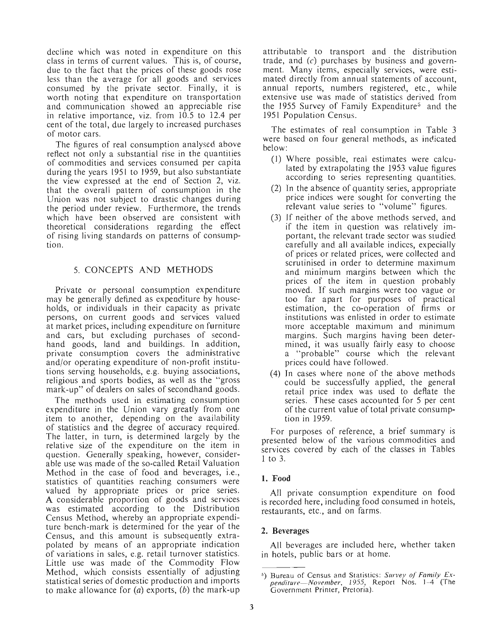decline which was noted in expenditure on this class in terms of current values. This is, of course, due to the fact that the prices of these goods rose less than the average for all goods and services consumed by the private sector. Finally, it is worth noting that expenditure on transportation and communication showed an appreciable rise in relative importance, viz. from 10.5 to 12.4 per cent of the total, due largely to increased purchases of motor cars.

The figures of real consumption analysed above reflect not only a substantial rise in the quantities of commodities and services consumed per capita during the years 1951 to 1959, but also substantiate the view expressed at the end of Section 2, viz. that the overall pattern of consumption in the Union was not subject to drastic changes during the period under review. Furthermore, the trends which have been observed are consistent with theoretical considerations regarding the effect of rising living standards on patterns of consumption.

## 5. CONCEPTS AND METHODS

Private or personal consumption expenditure may be generally defined as expenditure by households, or individuals in their capacity as private persons, on current goods and services valued at market prices, including expenditure on furniture and cars, but excluding purchases of secondhand goods, land and buildings. In addition, private consumption covers the administrative and/or operating expenditure of non-profit institutions serving households, e.g. buying associations, religious and sports bodies, as well as the "gross mark-up" of dealers on sales of secondhand goods.

The methods used in estimating consumption expenditure in the Union vary greatly from one item to another, depending on the availability of statistics and the degree of accuracy required. The latter, in turn, is determined largely by the relative size of the expenditure on the item in question. Generally speaking, however, considerable use was made of the so-called Retail Valuation Method in the case of food and beverages, i.e., statistics of quantities reaching consumers were valued by appropriate prices or price series. A considerable proportion of goods and services was estimated according to the Distribution Census Method, whereby an appropriate expenditure bench-mark is determined for the year of the Census, and this amount is subsequently extrapolated by means of an appropriate indication of variations in sales, e.g. retail turnover statistics. Little use was made of the Commodity Flow Method, which consists essentially of adjusting statistical series of domestic production and imports to make allowance for  $(a)$  exports,  $(b)$  the mark-up attributable to transport and the distribution trade, and  $(c)$  purchases by business and government. Many items, especially services, were estimated directly from annual statements of account, annual reports, numbers registered., etc., while extensive use was made of statistics derived from the 1955 Survey of Family Expenditure<sup>5</sup> and the 1951 Population Census.

The estimates of real consumption in Table 3 were based on four general methods, as indicated below:

- (1) Where possible, real estimates were calculated by extrapolating the 1953 value figures according to series representing quantities.
- (2) In the absence of quantity series, appropriate price indices were sought for converting the relevant value series to "volume" figures.
- (3) If neither of the above methods served, and if the item in question was relatively important, the relevant trade sector was studied carefully and all available indices, expecially of prices or related prices, were collected and scrutinised in order to determine maximum and minimum margins between which the prices of the item in question probably moved. If such margins were too vague or too far apart for purposes of practical estimation, the co-operation of firms or institutions was enlisted in order to estimate more acceptable maximum and minimum margins. Such margins having been determined, it was usually fairly easy to choose a "probable" course which the relevant prices could have followed.
- (4) In cases where none of the above methods could be successfully applied, the general retail price index was used to deflate the series. These cases accounted for 5 per cent of the current value of total private consumption in 1959.

For purposes of reference, a brief summary is presented below of the various commodities and services covered by each of the classes in Tables 1 to 3.

#### **1.** Food

All private consumption expenditure on food is recorded here, including food consumed in hotels, restaurants, etc., and on farms.

# 2. Beverages

All beverages are included here, whether taken in hotels, public bars or at home.

<sup>&</sup>lt;sup>5</sup>) Bureau of Census and Statistics: Survey of Family Ex*pendilure-Novernber,* 1955,. Report Nos. 1-4 (The Government Printer, Pretoria).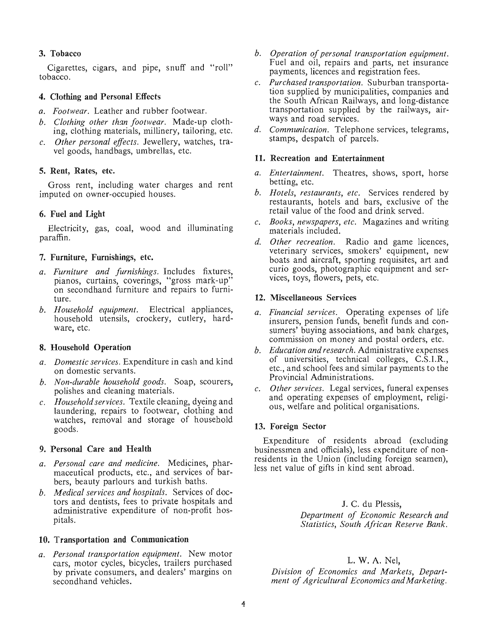# 3. Tobacco

Cigarettes, cigars, and pipe, snuff and "roll" tobacco.

## 4. Clothing and Personal Effects

- *a. Footwear.* Leather and rubber footwear.
- *b. Clothing other than footwear.* Made-up clothing, clothing materials, millinery, tailoring, etc.
- c. *Other personal effects.* Jewellery, watches, travel goods, handbags, umbrellas, etc.

#### 5. Rent, Rates, etc.

Gross rent, including water charges and rent imputed on owner-occupied houses.

## 6. Fuel and Light

Electricity, gas, coal, wood and illuminating paraffin.

#### 7. Furniture, Furnishings, etc.

- *a. Furniture and furnishings.* Includes fixtures, pianos, curtains, coverings, "gross mark-up" on secondhand furniture and repairs to furniture.
- *b. Household equipment.* Electrical appliances, household utensils, crockery, cutlery, hardware, etc.

#### 8. Household Operation

- *a. Domestic services.* Expenditure in cash and kind on domestic servants.
- *b. Non-durable household goods.* Soap, scourers, polishes and cleaning materials.
- c. *Household services.* Textile cleaning, dyeing and laundering, repairs to footwear, clothing and watches, removal and storage of household goods.

#### 9. Personal Care and Health

- *a. Personal care and medicine.* Medicines, pharmaceutical products, etc., and services of barbers, beauty parlours and turkish baths.
- *b. Medical services and hospitals.* Services of doctors and dentists, fees to private hospitals and administrative expenditure of non-profit hospitals.

#### 10. Transportation and Communication

*a. Personal transportation equipment.* New motor cars, motor cycles, bicycles, trailers purchased by private consumers, and dealers' margins on secondhand vehicles.

- *b. Operation of personal transportation equipment.*  Fuel and oil, repairs and parts, net insurance payments, licences and registration fees.
- c. *Purchased transportation.* Suburban transportation supplied by municipalities, companies and the South African Railways, and long-distance transportation supplied by the railways, airways and road services.
- *d. Communication.* Telephone services, telegrams, stamps, despatch of parcels.

#### 11. Recreation and Entertainment

- *a. Entertainment.* Theatres, shows, sport, horse betting, etc.
- *b. Hotels, restaurants, etc.* Services rendered by restaurants, hotels and bars, exclusive of the retail value of the food and drink served.
- c. *Books, newspapers, etc.* Magazines and writing materials included.
- *d. Other recreation.* Radio and game licences, veterinary services, smokers' equipment, new boats and aircraft, sporting requisites, art and curio goods, photographic equipment and services, toys, flowers, pets, etc.

#### 12. Miscellaneous Services

- *a. Financial services.* Operating expenses of life insurers, pension funds, benefit funds and consumers' buying associations, and bank charges, commission on money and postal orders, etc.
- *b. Education and research.* Administrative expenses of universities, technical colleges, C.S.I.R., etc., and school fees and similar payments to the Provincial Administrations.
- c. *Other services.* Legal services, funeral expenses and operating expenses of employment, religious, welfare and political organisations.

#### 13. Foreign Sector

Expenditure of residents abroad (excluding businessmen and officials), less expenditure of nonresidents in the Union (including foreign seamen), less net value of gifts in kind sent abroad.

> J. C. du Plessis, *Department of Economic Research and Statistics, South African Reserve Bank.*

#### L. W. A. Nel,

*Division of Economics and Markets, Department of Agricultural Economics andMarketing.*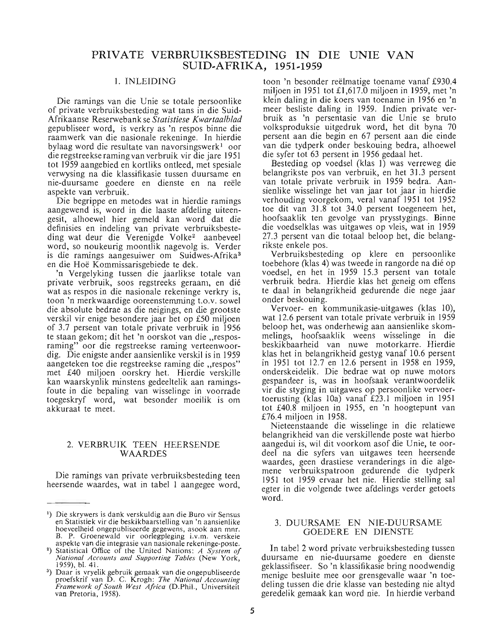# **PRIVATE VERBRUIKSBESTEDING IN DIE UNIE VAN SUID .. AFRIKA, 1951 .. 1959**

#### 1. INLEIDING

Die ramings van die Unie se totale persoonlike of private verbruiksbesteding wat tans in die Suid-Afrikaanse Reserwebank se *Statistiese Kwartaalblad*  gepu bliseer word, is verkry as 'n respos binne die raamwerk van die nasionale rekeninge. In hierdie bylaag word die resultate van navorsingswerk<sup>1</sup> oor die regstreekse raming van verbruik vir die jare 1951 tot 1959 aangebied en kortliks ontleed, met spesiale verwysing na die klassifikasie tussen duursame en nie-duursame goedere en dienste en na reele aspekte van verbruik.

Die begrippe en metodes wat in hierdie ramings aangewend is, word in die laaste afdeling uiteengesit, alhoewel hier gemeld kan word dat die definisies en indeling van private verbruiksbesteding wat deur die Verenigde Volke<sup>2</sup> aanbeveel word, so noukeurig moontlik nagevolg is. Verder is die ramings aangesuiwer om Suidwes-Afrika3 en die Hoe Kommissarisgebiede te dek.

'n Vergelyking tussen die jaarlikse totale van private verbruik, soos regstreeks geraam, en die wat as respos in die nasionale rekeninge verkry is, toon 'n merkwaardige ooreenstemming t.o.v. sowel die absolute bedrae as die neigings, en die grootste verskil vir enige besondere jaar het op £50 miljoen of 3.7 persent van totale private verbruik in 1956 te staan gekom; dit het 'n oorskot van die "resposraming" oor die regstreekse raming verteenwoordig. Die enigste ander aansienlike verskil is in 1959 aangeteken toe die regstreekse raming die "respos" met £40 miljoen oorskry het. Hierdie verskille kan waarskynlik minstens gedeeltelik aan ramingsfoute in die bepaling van wisselinge in voorrade toegeskryf word, wat besonder moeilik is om akkuraat te meet.

#### 2. VERBRUIK TEEN HEERSENDE WAARDES

Die ramings van private verbruiksbesteding teen heersende waardes, wat in tabel 1 aangegee word, toon 'n besonder reeImatige toename vanaf £930.4 miljoen in 1951 tot £1,617.0 miljoen in 1959, met 'n klein daling in die koers van toename in 1956 en 'n meer besliste daling in 1959. Indien private verbruik as 'n persentasie van die Unie se bruto volksproduksie uitgedruk word, het dit byna 70 persent aan die begin en 67 persent aan die einde van die tydperk onder beskouing bedra, alhoewel die syfer tot 63 persent in 1956 gedaal het.

Besteding op voedsel (klas 1) was verreweg die belangrikste pos van verbruik, en het 31.3 persent van totale private verbruik in 1959 bedra. Aansienlike wisselinge het van jaar tot jaar in hierdie verhouding voorgekom, veral vanaf 1951 tot 1952 toe dit van 31.8 tot 34.0 persent toegeneem het, hoofsaaklik ten gevolge van prysstygings. Binne die voedselklas was uitgawes op vleis, wat in 1959 27.3 persent van die totaal beloop het, die belangrikste enkele pos.

Verbruiksbesteding op klere en persoonlike toebehore (klas 4) was tweede in rangorde na die op voedsel, en het in 1959 15.3 persent van totale verbruik bedra. Hierdie klas het geneig om effens te daal in belangrikheid gedurende die nege jaar onder beskouing.

Vervoer- en kommunikasie-uitgawes (klas 10), wat 12.6 persent van totale private verbruik in 1959 beloop het, was onderhewig aan aansienlike skomme lings, hoofsaaklik weens wisselinge in die beskikbaarheid van nuwe motorkarre. Hierdie klas het in belangrikheid gestyg vanaf 10.6 persent in 1951 tot 12.7 en 12.6 persent in 1958 en 1959, onderskeidelik. Die bedrae wat op nuwe motors gespandeer is, was in hoofsaak verantwoordelik vir die styging in uitgawes op persoonlike vervoertoerusting (klas lOa) vanaf £23.1 miljoen in 1951 tot £40.8 miljoen in 1955, en 'n hoogtepunt van £76.4 miljoen in 1958.

Nieteenstaande die wisselinge in die relatiewe belangrikheid van die verskillende poste wat hierbo aangedui is, wil dit voorkom asof die Unie, te oordeel na die syfers van uitgawes teen heersende waardes, geen drastiese veranderings in die algemene verbruikspatroon gedurende die tydperk 1951 tot 1959 ervaar het nie. Hierdie stelling sal egter in die volgende twee afdelings verder getoets word.

#### 3. DUURSAME EN NIE-DUURSAME GOEDERE EN DIENSTE

In tabel 2 word private verbruiksbesteding tussen duursame en nie-duursame goedere en dienste geklassifiseer. So 'n klassifikasie bring noodwendig menige besluite mee oor grensgevalle waar 'n toedeling tussen die drie klasse van besteding nie altyd geredelik gemaak kan word nie. In hierdie verband

<sup>1)</sup> Die skrywers is dank verskuldig aan die Buro vir Sensus en Statistiek vir die beskikbaarstelling van 'n aansienlike hoeveelheid ongepubliseerde gegewens, asook aan mnr. B. P. Groenewald vir oorlegpleging i.v.m. verskeie aspekte van die integrasie van nasionale rekeninge-poste.

<sup>2)</sup> Statistical Office of the United Nations: *A System of National Accounts and Supporting Tables* (New York, 1959), bI. 41.

<sup>3)</sup> Daar is vryelik gebruik gemaak van die ongepubliseerde proefskrif van D. C. Krogh: *The National Accounting Framework of South West Africa* (D.Phil., Universiteit van Pretoria, 1958).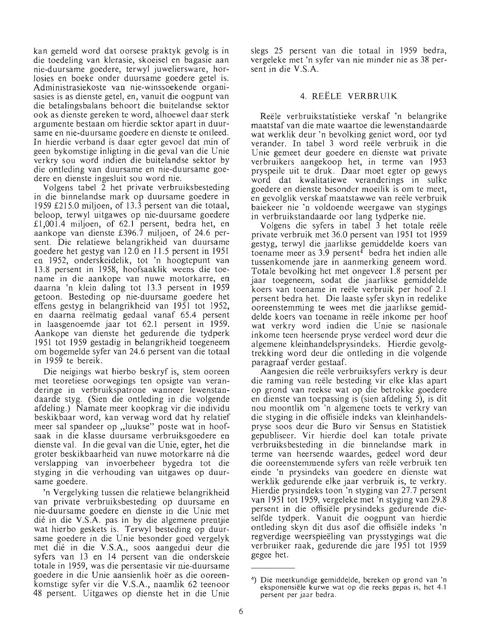kan gemeld word dat oorsese praktyk gevolg is in die toedeling van klerasie, skoeisel en bagasie aan nie-duursame goedere, terwyl juweliersware, horlosies en boeke onder duursame goedere getel is. Administrasiekoste van nie-winssoekende organisasies is as dienste getel, en, vanuit die oogpunt van die betalingsbalans behoort die buitelandse sektor ook as dienste gereken te word, alhoewel daar sterk argumente bestaan om hierdie sektor apart in duursame en nie-duursame goedere en dienste te ontleed. In hierdie verband is daar egter gevoel dat min of geen bykomstige inligting in die geval van die Unie verkry sou word indien die buitelandse sektor by die ontleding van duursame en nie-duursame goedere en dienste ingesluit sou word nie.

Volgens tabel 2 het private verbruiksbesteding in die binnelandse mark op duursame goedere in 1959 £215.0 miljoen, of 13.3 persent van die totaal, beloop, terwyl uitgawes op nie-duursame goedere £1,001.4 miljoen, of 62.1 persent, bedra het, en aankope van dienste £396.7 miljoen, of 24.6 persent. Die relatiewe belangrikheid van duursame goedere het gestyg van 12.0 en 11.5 persent in 1951 en 1952, onderskeidelik, tot 'n hoogtepunt van 13.8 persent in 1958, hoofsaaklik weens die toename in die aankope van nuwe motorkarre, en daarna 'n klein daling tot 13.3 persent in 1959 getoon. Besteding op nie-duursame goedere het effens gestyg in belangrikheid van 1951 tot 1952, en daarna reeJmatig gedaal vanaf 65.4 persent in laasgenoemde jaar tot 62.1 persent in 1959. Aankope van dienste het gedurende die tydperk 1951 tot 1959 gestadig in belangrikheid toegeneem om bogemelde syfer van 24.6 persent van die totaal in 1959 te bereik.

Die neigings wat hierbo beskryf is, stem ooreen met teoretiese oorwegings ten opsigte van veranderinge in verbruikspatrone wanneer lewenstandaarde styg. (Sien die ontleding in die volgende afdeling.) Namate meer koopkrag vir die individu beskikbaar word, kan verwag word dat hy relatief meer sal spandeer op "luukse" poste wat in hoofsaak in die klasse duursame verbruiksgoedere en dienste val. In die geval van die Unie, egter, het die groter beskikbaarheid van nuwe motorkarre ná die verslapping van invoerbeheer bygedra tot die styging in die verhouding van uitgawes op duursame goedere.

'n Vergelyking tussen die relatiewe belangrikheid van private verbruiksbesteding op duursame en nie-duursame goedere en dienste in die Unie met die in die V.S.A. pas in by die algemene prentjie wat hierbo geskets is. Terwyl besteding op duursame goedere in die Unie besonder goed vergelyk met die in die V.S.A., soos aangedui deur die syfers van 13 en 14 persent van die onderskeie totale in 1959, was die persentasie vir nie-duursame goedere in die Unie aansienlik hoër as die ooreenkomstige syfer vir die V.S.A., naamlik 62 teenoor 48 persent. Uitgawes op dienste het in die Unie slegs 25 persent van die totaal in 1959 bedra, vergeleke met 'n syfer van nie minder nie as 38 persent in die V.S.A.

### 4. REELE VERBRUIK

Reele verbruikstatistieke verskaf 'n belangrike maatstaf van die mate waartoe die lewenstandaarde wat werklik deur 'n bevolking geniet word, oor tyd verander. In tabel 3 word reele verbruik in die Unie gemeet deur goedere en dienste wat private verbruikers aangekoop het, in terme van 1953 pryspeile uit te druk. Daar moet egter op gewys word dat kwalitatiewe veranderings in sulke goedere en dienste besonder moeilik is om te meet, en gevolglik verskaf maatstawwe van reele verbruik baiekeer nie 'n voldoende weergawe van stygings in verbruikstandaarde oor lang tydperke nie.

Volgens die syfers in tabel 3 het totale reële private verbruik met 36.0 persent van 1951 tot 1959 gestyg, terwyl die jaarlikse gemiddelde koers van toename meer as 3.9 persent<sup>4</sup> bedra het indien alle tussenkomende jare in aanmerking geneem word. Totale bevolking het met ongeveer 1.8 persent per jaar toegeneem, sodat die jaarlikse gemiddelde koers van toename in reele verbruik per hoof 2.1 persent bedra het. Die laaste syfer skyn in redelike ooreenstemming te wees met die jaarlikse gemiddelde koers van toename in reele inkome per hoof wat verkry word indien die Unie se nasionale inkome teen heersende pryse verdeel word deur die algemene kleinhandelsprysindeks. Hierdie gevolgtrekking word deur die ontleding in die volgende paragraaf verder gestaaf.

Aangesien die reele verbruiksyfers verkry is deur die raming van reele besteding vir elke klas apart op grond van reekse wat op die betrokke goedere en dienste van toepassing is (sien afdeling 5), is dit nou moontlik om 'n algemene toets te verkry van die styging in die offisiele indeks van kleinhandelspryse so os deur die Buro vir Sensus en Statistiek gepubliseer. Vir hierdie doel kan totale private verbruiksbesteding in die binnelandse mark in terme van heersende waardes, gedeel word deur die ooreenstemmende syfers van reële verbruik ten einde 'n prysindeks van goedere en dienste wat werklik gedurende elke jaar verbruik is, te verkry. Hierdie prysindeks toon 'n styging van 27.7 persent van 1951 tot 1959, vergeleke met 'n styging van 29.8 persent in die offisiele prysindeks gedurende dieselfde tydperk. Vanuit die oogpunt van hierdie ontleding skyn dit dus asof die offisiele indeks 'n regverdige weerspieëling van prysstygings wat die verbruiker raak, gedurende die jare 1951 tot 1959 gegee het.

<sup>4)</sup> Die meetkundige gemiddelde, bereken op grond van 'n eksponensiele kurwe wat op die reeks gepas is, het 4.1 persent per jaar bedra.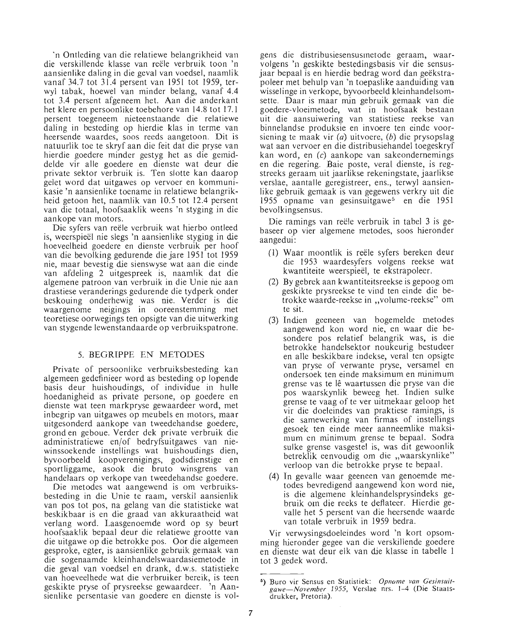'n Ontleding van die relatiewe belangrikheid van die verskillende klasse van reele verbruik toon 'n aansienlike daling in die geval van voedsel, naamlik vanaf 34.7 tot 31.4 persent van 1951 tot 1959, terwyl tabak, hoewel van minder belang, vanaf 4.4 tot 3.4 persent afgeneem het. Aan die anderkant het klere en persoonlike toebehore van 14.8 tot 17.1 persent toegeneem nieteenstaande die relatiewe daling in besteding op hierdie klas in terme van heersende waardes, soos reeds aangetoon. Dit is natuurlik toe te skryf aan die feit dat die pryse van hierdie goedere minder gestyg het as die gemiddelde vir alle goedere en dienste wat deur die private sektor verbruik is. Ten slotte kan daarop gelet word dat uitgawes op vervoer en kommunikasie 'n aansienlike toename in relatiewe belangrikheid getoon het, naamlik van 10.5 tot 12.4 persent van die totaal, hoofsaaklik weens 'n styging in die aankope van motors.

Die syfers van reele verbruik wat hierbo ontleed is, weerspieel nie slegs 'n aansienlike styging in die hoeveelheid goedere en dienste verbruik per hoof van die bevolking gedurende die jare 1951 tot 1959 nie, maar bevestig die sienswyse wat aan die einde van afdeling 2 uitgespreek is, naamlik dat die algemene patroon van verbruik in die Unie nie aan drastiese veranderings gedurende die tydperk onder beskouing onderhewig was nie. Verder is die waargenome neigings in ooreenstemming met teoretiese oorwegings ten opsigte van die uitwerking van stygende lewenstandaarde op verbruikspatrone.

#### 5. BEGRIPPE EN METODES

Private of persoonlike verbruiksbesteding kan algemeen gedefinieer word as besteding op lopende basis deur huishoudings, of individue in hulle hoedanigheid as private persone, op goedere en dienste wat teen markpryse gewaardeer word, met inbegrip van uitgawes op meubels en motors, maar uitgesonderd aankope van tweedehandse goedere, grond en geboue. Verder dek private verbruik die administratiewe en/of bedryfsuitgawes van niewinssoekende instellings wat buishoudings dien, byvoorbeeld koopverenigings, godsdienstige en sportliggame, asook die bruto winsgrens van handelaars op verkope van tweedehandse goedere.

Die metodes wat aangewend is om verbruiksbesteding in die Unie te raam, verskil aansienlik van pos tot pos, na gelang van die statistieke wat beskikbaar is en die graad van akkuraatheid wat verlang word. Laasgenoemde word op sy beurt hoofsaaklik bepaal deur die relatiewe grootte van die uitgawe op die betrokke pos. Oor die algemeen gesproke, egter, is aansienlike gebruik gemaak van die sogenaamde kleinhandelswaardasiemetode in die geval van voedsel en drank, d.w.s. statistieke van hoeveelhede wat die verbruiker bereik, is teen geskikte pryse of prysreekse gewaardeer. 'n Aansienlike persentasie van goedere en dienste is vol-

gens die distribusiesensusmetode geraam, waarvolgens 'n geskikte bestedingsbasis vir die sensusjaar bepaal is en hierdie bedrag word dan geekstrapoleer met behulp van 'n toepaslike aanduiding van wisselinge in verkope, byvoorbeeld kleinhandelsomsette. Daar is maar min gebruik gemaak van die goedere-vloeimetode, wat in hoofsaak bestaan uit die aansuiwering van statistiese reekse van binnelandse produksie en invoere ten einde voorsiening te maak vir  $(a)$  uitvoere,  $(b)$  die prysopslag wat aan vervoer en die distribusiehandel toegeskryf kan word, en (c) aankope van sakeondernemings en die regering. Baie poste, veral dienste, is regstreeks geraam uit jaarlikse rekeningstate, jaarlikse verslae, aantalle geregistreer, ens., terwyl aansienlike gebruik gemaak is van gegewens verkry uit die 1955 opname van gesinsuitgawe<sup>5</sup> en die 1951 bevolkingsensus.

Die ramings van reele verbruik in tabel 3 is gebaseer op vier algemene metodes, soos hieronder aangedui:

- (1) Waar moontlik is reele syfers bereken deur die 1953 waardesyfers volgens reekse wat kwantiteite weerspieel, te ekstrapoleer.
- (2) By gebrek aan kwantiteitsreekse is gepoog om geskikte prysreekse te vind ten einde die betrokke waarde-reekse in "volume-reekse" om te sit.
- (3) Indien geeneen van bogemelde metodes aangewend kon word nie, en waar die besondere pos relatief belangrik was, is die betrokke handelsektor noukeurig bestudeer en aIle beskikbare indekse, veral ten opsigte van pryse of verwante pryse, versamel en ondersoek ten einde maksimum en minimum grense vas te Ie waartussen die pryse van die pos waarskynlik beweeg het. Indien sulke grense te vaag of te ver uitmekaar geloop het vir die doeleindes van praktiese ramings, is die samewerking van firmas of instellings gesoek ten einde meer aanneemlike maksimum en minimum grense te bepaal. Sodra sulke grense vasgestel is, was dit gewoonlik betreklik eenvoudig om die "waarskynlike" verloop van die betrokke pryse te bepaal.
- (4) In gevalle waar geeneen van genoemde metodes bevredigend aangewend kon word nie, is die algemene kleinhandelsprysindeks gebruik om die reeks te deftateer. Hierdie gevalle het 5 persent van die heersende waarde van totale verbruik in 1959 bedra.

Vir verwysingsdoeleindes word 'n kort opsomming hieronder gegee van die verskillende goedere en dienste wat deur elk van die klasse in tabelle 1 tot 3 gedek word.

<sup>6)</sup> Buro vir Sensus en Statistiek: *Opnome van Gesinsuitgawe-November* 1955, Verslae nrs. 1-4 (Die Staatsdrukker, Pretoria).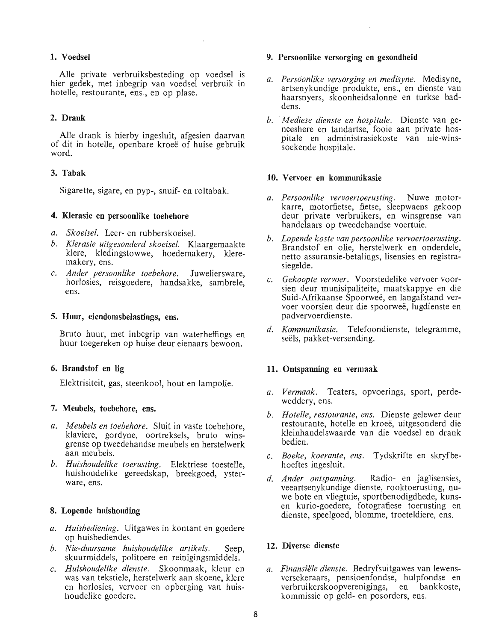#### 1. Voedsel

Alle private verbruiksbesteding op voedsel is hier gedek, met inbegrip van voedsel verbruik in hotelle, restourante, ens., en op plase.

### 2. Drank

AIle drank is hierby ingesluit, afgesien daarvan of dit in hotelle, openbare kroee of huise gebruik word.

#### 3. Tabak

Sigarette, sigare, en pyp-, snuif- en roltabak.

#### 4. KJerasie en persoonlike toebehore

- *a. Skoeisel.* Leer- en rubberskoeisel.
- *b. Klerasie uitgesonderd skoeisel.* Klaargemaakte klere, kledingstowwe, hoedemakery, kleremakery, ens.
- c. *Ander persoonlike toebehore.* Juweliersware, horlosies, reisgoedere, handsakke, sambrele, ens.

#### 5. Huur, eiendomsbelastings, ens.

Bruto huur, met inbegrip van waterheffings en huur toegereken op huise deur eienaars bewoon.

# 6. Brandstof en lig

Elektrisiteit, gas, steenkool, hout en lampolie.

#### 7. Meubels, toebehore, ens.

- *a. Meubels en toebehore.* Sluit in vaste toebehore, klaviere, gordyne, oortreksels, bruto winsgrense op tweedehandse meubels en herstelwerk aan meu bels.
- *b. Huishoudelike toerusting.* Elektriese toestelle, huishoudelike gereedskap, breekgoed, ysterware, ens.

#### 8. Lopende huishouding

- *a. Huisbediening.* Uitgawes in kontant en goedere op huisbediendes.
- *b. Nie-duursame huishoudelike artikels.* Seep, skuurmiddels, politoere en reinigingsmiddels.
- c. *Huishoudelike dienste.* Skoonmaak, kleur en was van tekstiele, herstelwerk aan skoene, klere en horlosies, vervoer en opberging van huishoudelike goedere.

#### 9. Persoonlike versorging en gesondheid

- *a. PersOonlike versorging en medisyne.* Medisyne, artsenykundige produkte, ens., en dienste van haarsnyers, skoonheidsalonne en turkse baddens.
- *b. Mediese dienste en hospitale.* Dienste van geneeshere en tandartse, fooie aan private hospitale en administrasiekoste van nie-winssoekende hospitale.

#### 10. Vervoer en kommunikasie

- *a. Persoonlike vervoertoerusting.* Nuwe motorkarre, motorfietse, fietse, sleepwaens gekoop deur private verbruikers, en winsgrense van handelaars op tweedehandse voertuie.
- *b. Lopende koste van persoonlike vervoertoerusting.*  Brandstof en olie, herstelwerk en onderdele, netto assuransie-betalings, lisensies en registrasiegelde.
- c. *Gekoopte vervoer.* Voorstedelike vervoer voorsien deur munisipaliteite, maatskappye en die Suid-Mrikaanse Spoorwee, en langafstand vervoer voorsien deur die spoorwee, lugdienste en pad very oerdiens te.
- *d. Kommunikasie.* Telefoondienste, telegramme, seels, pakket-versending.

#### **11.** Ontspanning en vermaak

- *a. Vermaak.* Teaters, opvoerings, sport, perdeweddery, ens.
- *b. Hotelle, restourante, ens.* Dienste gelewer deur restourante, hotelle en kroee, uitgesonderd die kleinhandelswaarde van die voedsel en drank bedien.
- c. *Boeke, koerante, ens.* Tydskrifte en skryfbehoeftes ingesluit.
- *d. Ander ontspanning.* Radio- en jaglisensies, veeartsenykundige dienste, rooktoerusting, nuwe bote en vliegtuie, sportbenodigdhede, kunsen kurio-goedere, fotografiese toerusting en dienste, speelgoed, blomme, troeteldiere, ens.

#### 12. Diverse dienste

*a. Finansiele dienste.* Bedryfsuitgawes van lewensversekeraars, pensioenfondse, hulpfondse en<br>verbruikerskoopverenigings, en bankkoste. verbruikerskoopverenigings, en kommissie op geld- en posorders, ens.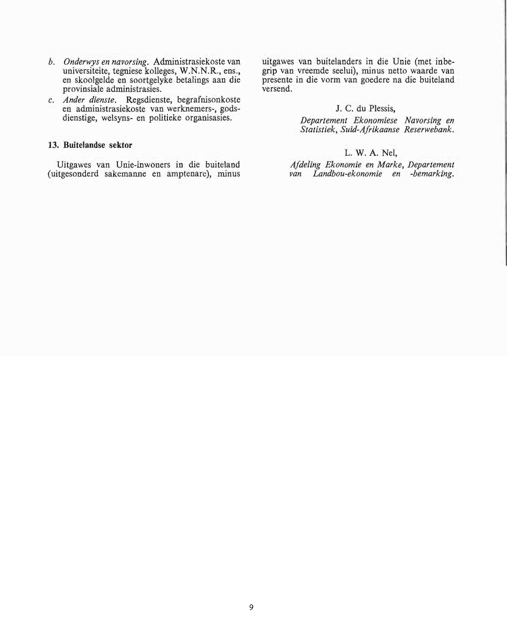- *b. Onderwys en navorsing.* Administrasiekoste van universiteite, tegniese kolleges, W.N.N.R., ens., en skoolgelde en soortgelyke betalings aan die provinsiale administrasies.
- c. *Ander dienste.* Regsdienste, begrafnisonkoste en administrasiekoste van werknemers-, godsdienstige, welsyns- en politieke organisasies.

# **13. Buitelandse sektor**

Uitgawes van Unie-inwoners in die buiteland (uitgesonderd sakemanne en amptenare), minus uitgawes van buitelanders in die Unie (met inbegrip van vreemde seelui), minus netto waarde van presente in die vonn van goedere na die buiteland versend.

## J. C. du Plessis,

*Departement Ekonomiese Navorsing en Statistiek, Suid-Afrikaanse Reserwebank.* 

## L. W. A. Nel,

*Afdeling Ekonomie en Marke, Departement van Landbou-ekonomie en -bemarking.*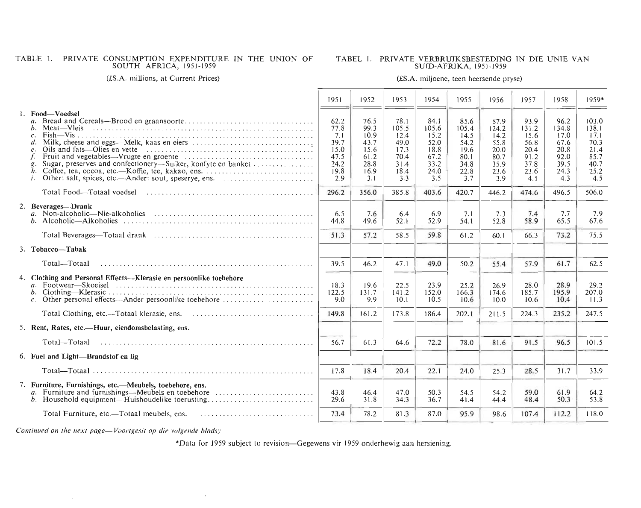# TABLE 1. PRIVATE CONSUMPTION EXPENDITURE IN THE UNION OF

#### TABEL 1. PRIVATE VERBRUIKSBESTEDTNG IN DIE UNIE VAN SUrD-AFR1KA,1951-1959

#### (£S.A. millions, at Current Prices)

#### (£S.A. miljoene, teen heersende pryse)

|                                                                                                                                                                                                                                                                                                                                                                                                 | 1951                                                               | 1952                                                                | 1953                                                                 | 1954                                                                 | 1955                                                                 | 1956                                                                 | 1957                                                                 | 1958                                                                 | 1959*                                                                 |
|-------------------------------------------------------------------------------------------------------------------------------------------------------------------------------------------------------------------------------------------------------------------------------------------------------------------------------------------------------------------------------------------------|--------------------------------------------------------------------|---------------------------------------------------------------------|----------------------------------------------------------------------|----------------------------------------------------------------------|----------------------------------------------------------------------|----------------------------------------------------------------------|----------------------------------------------------------------------|----------------------------------------------------------------------|-----------------------------------------------------------------------|
| 1. Food-Voedsel<br>$\overline{a}$ .<br>Meat—Vleis<br>$\mathcal{C}$ .<br>Oils and fats—Olies en vette recommended in the contract of the same of the contract of the contract of the same of the same of the same of the same of the same of the same of the same of the same of the same of the same o<br>$\mathcal{C}$ .<br>Sugar, preserves and confectionery—Suiker, konfyte en banket<br>i. | 62.2<br>77.8<br>7.1<br>39.7<br>15.0<br>47.5<br>24.2<br>19.8<br>2.9 | 76.5<br>99.3<br>10.9<br>43.7<br>15.6<br>61.2<br>28.8<br>16.9<br>3.1 | 78.1<br>105.5<br>12.4<br>49.0<br>17.3<br>70.4<br>31.4<br>18.4<br>3.3 | 84.1<br>105.6<br>15.2<br>52.0<br>18.8<br>67.2<br>33.2<br>24.0<br>3.5 | 85.6<br>105.4<br>14.5<br>54.2<br>19.6<br>80.1<br>34.8<br>22.8<br>3.7 | 87.9<br>124.2<br>14.2<br>55.8<br>20.0<br>80.7<br>35.9<br>23.6<br>3.9 | 93.9<br>131.2<br>15.6<br>56.8<br>20.4<br>91.2<br>37.8<br>23.6<br>4.1 | 96.2<br>134.8<br>17.0<br>67.6<br>20.8<br>92.0<br>39.5<br>24.3<br>4.3 | 103.0<br>138.1<br>17.1<br>70.3<br>21.4<br>85.7<br>40.7<br>25.2<br>4.5 |
|                                                                                                                                                                                                                                                                                                                                                                                                 | 296.2                                                              | 356.0                                                               | 385.8                                                                | 403.6                                                                | 420.7                                                                | 446.2                                                                | 474.6                                                                | 496.5                                                                | 506.0                                                                 |
| 2. Beverages-Drank<br>b. Alcoholic—Alkoholies                                                                                                                                                                                                                                                                                                                                                   | 6.5<br>44.8                                                        | 7.6<br>49.6                                                         | 6.4<br>52.1                                                          | 6.9<br>52.9                                                          | 7.1<br>54.1                                                          | 7.3<br>52.8                                                          | 7.4<br>58.9                                                          | 7.7<br>65.5                                                          | 7.9<br>67.6                                                           |
|                                                                                                                                                                                                                                                                                                                                                                                                 | 51.3                                                               | 57.2                                                                | 58.5                                                                 | 59.8                                                                 | 61.2                                                                 | 60.1                                                                 | 66.3                                                                 | 73.2                                                                 | 75.5                                                                  |
| 3. Tobacco-Tabak                                                                                                                                                                                                                                                                                                                                                                                |                                                                    |                                                                     |                                                                      |                                                                      |                                                                      |                                                                      |                                                                      |                                                                      |                                                                       |
| Total-Totaal                                                                                                                                                                                                                                                                                                                                                                                    | 39.5                                                               | 46.2                                                                | 47.1                                                                 | 49.0                                                                 | 50.2                                                                 | 55.4                                                                 | 57.9                                                                 | 61.7                                                                 | 62.5                                                                  |
| 4. Clothing and Personal Effects--Klerasie en persoonlike toebehore<br>c. Other personal effects—Ander persoonlike toebehore                                                                                                                                                                                                                                                                    | 18.3<br>122.5<br>9.0                                               | 19.6<br>131.7<br>9.9                                                | 22.5<br>141.2<br>10.1                                                | 23.9<br>152.0<br>10.5                                                | 25.2<br>166.3<br>10.6                                                | 26.9<br>174.6<br>10.0                                                | 28.0<br>185.7<br>10.6                                                | 28.9<br>195.9<br>10.4                                                | 29.2<br>207.0<br>11.3                                                 |
|                                                                                                                                                                                                                                                                                                                                                                                                 | 149.8                                                              | 161.2                                                               | 173.8                                                                | 186.4                                                                | 202.1                                                                | 211.5                                                                | 224.3                                                                | 235.2                                                                | 247.5                                                                 |
| 5. Rent, Rates, etc.—Huur, eiendomsbelasting, ens.                                                                                                                                                                                                                                                                                                                                              |                                                                    |                                                                     |                                                                      |                                                                      |                                                                      |                                                                      |                                                                      |                                                                      |                                                                       |
| Total-Totaal                                                                                                                                                                                                                                                                                                                                                                                    | 56.7                                                               | 61.3                                                                | 64.6                                                                 | 72.2                                                                 | 78.0                                                                 | 81.6                                                                 | 91.5                                                                 | 96.5                                                                 | 101.5                                                                 |
| 6. Fuel and Light-Brandstof en lig                                                                                                                                                                                                                                                                                                                                                              |                                                                    |                                                                     |                                                                      |                                                                      |                                                                      |                                                                      |                                                                      |                                                                      |                                                                       |
|                                                                                                                                                                                                                                                                                                                                                                                                 | 17.8                                                               | 18.4                                                                | 20.4                                                                 | 22.1                                                                 | 24.0                                                                 | 25.3                                                                 | 28.5                                                                 | 31.7                                                                 | 33.9                                                                  |
| 7. Furniture, Furnishings, etc.-Meubels, toebehore, ens.                                                                                                                                                                                                                                                                                                                                        | 43.8<br>29.6                                                       | 46.4<br>31.8                                                        | 47.0<br>34.3                                                         | 50.3<br>36.7                                                         | 54.5<br>41.4                                                         | 54.2<br>44.4                                                         | 59.0<br>48.4                                                         | 61.9<br>50.3                                                         | 64.2<br>53.8                                                          |
| Total Furniture, etc.—Totaal meubels, ens.                                                                                                                                                                                                                                                                                                                                                      | 73.4                                                               | 78.2                                                                | 81.3                                                                 | 87.0                                                                 | 95.9                                                                 | 98.6                                                                 | 107.4                                                                | 112.2                                                                | 118.0                                                                 |

*Continued on the next page-Voortgesit op die volgende bladsy* 

\*Data for 1959 subject to revision—Gegewens vir 1959 onderhewig aan hersiening.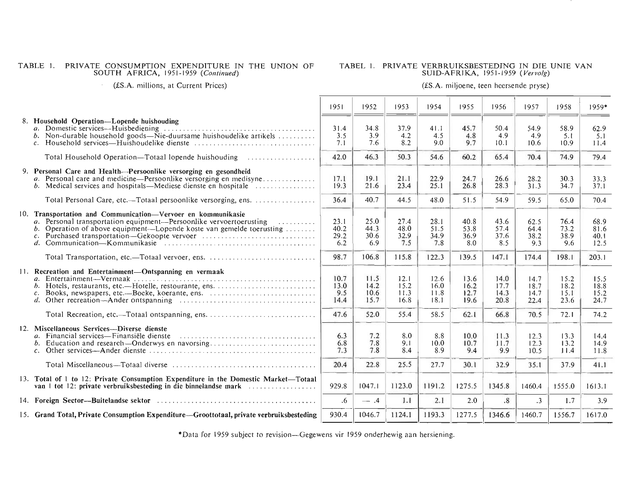# TABLE ]. PRIVATE CONSUMPTION EXPENDITURE IN THE UNION OF SOUTH AFRICA, 1951-]959 *(Continued)*

# TABEL 1. PRIVATE VERBRUIKSBESTEDING IN DIE UNIE VAN SUID-AFRIKA, 1951-1959 *( Ver vo!g)*

(£S.A. millions, at Current Prices)

## (£S.A. miljoene, teen hcersende pryse)

|                                                                                                                                                                                                                                  | 1951                        | 1952                         | 1953                         | 1954                         | 1955                         | 1956                         | 1957                         | 1958                         | $1959*$                      |
|----------------------------------------------------------------------------------------------------------------------------------------------------------------------------------------------------------------------------------|-----------------------------|------------------------------|------------------------------|------------------------------|------------------------------|------------------------------|------------------------------|------------------------------|------------------------------|
| 8. Household Operation—Lopende huishouding<br>b. Non-durable household goods—Nie-duursame huishoudelike artikels<br>$\mathcal{C}$ .                                                                                              | 31.4<br>3.5<br>7.1          | 34.8<br>3.9<br>7.6           | 37.9<br>4.2<br>8.2           | 41.1<br>4.5<br>9.0           | 45.7<br>4.8<br>9.7           | 50.4<br>4.9<br>10.1          | 54.9<br>4.9<br>10.6          | 58.9<br>5.1<br>10.9          | 62.9<br>5.1<br>11.4          |
|                                                                                                                                                                                                                                  | 42.0                        | 46.3                         | 50.3                         | 54.6                         | 60.2                         | 65.4                         | 70.4                         | 74.9                         | 79.4                         |
| 9. Personal Care and Health—Persoonlike versorging en gesondheid<br>a. Personal care and medicine—Persoonlike versorging en medisyne<br>b. Medical services and hospitals—Mediese dienste en hospitale $\dots \dots \dots \dots$ | 17.1<br>19.3                | 19.1<br>21.6                 | 21.1<br>23.4                 | 22.9<br>25.1                 | 24.7<br>26.8                 | 26.6<br>28.3                 | 28.2<br>31.3                 | 30.3<br>34.7                 | 33.3<br>37.1                 |
| Total Personal Care, etc.—Totaal persoonlike versorging, ens.                                                                                                                                                                    | 36.4                        | 40.7                         | 44.5                         | 48.0                         | 51.5                         | 54.9                         | 59.5                         | 65.0                         | 70.4                         |
| 10. Transportation and Communication-Vervoer en kommunikasie<br>a. Personal transportation equipment—Persoonlike vervoertoerusting<br>.<br>b. Operation of above equipment—Lopende koste van gemelde toerusting                  | 23.1<br>40.2<br>29.2<br>6.2 | 25.0<br>44.3<br>30.6<br>6.9  | 27.4<br>48.0<br>32.9<br>7.5  | 28.1<br>51.5<br>34.9<br>7.8  | 40.8<br>53.8<br>36.9<br>8.0  | 43.6<br>57.4<br>37.6<br>8.5  | 62.5<br>64.4<br>38.2<br>9.3  | 76.4<br>73.2<br>38.9<br>9.6  | 68.9<br>81.6<br>40.1<br>12.5 |
| Total Transportation, etc.—Totaal vervoer, ens.                                                                                                                                                                                  | 98.7                        | 106.8                        | 115.8                        | 122.3                        | 139.5                        | 147.1                        | 174.4                        | 198.1                        | 203.1                        |
| 11. Recreation and Entertainment-Ontspanning en vermaak<br>c. Books, newspapers, etc.—Boeke, koerante, ens.<br>d. Other recreation—Ander ontspanning $\ldots \ldots \ldots \ldots \ldots \ldots \ldots \ldots \ldots \ldots$     | 10.7<br>13.0<br>9.5<br>14.4 | 11.5<br>14.2<br>10.6<br>15.7 | 12.1<br>15.2<br>11.3<br>16.8 | 12.6<br>16.0<br>11.8<br>18.1 | 13.6<br>16.2<br>12.7<br>19.6 | 14.0<br>17.7<br>14.3<br>20.8 | 14.7<br>18.7<br>14.7<br>22.4 | 15.2<br>18.2<br>15.1<br>23.6 | 15.5<br>18.8<br>15.2<br>24.7 |
|                                                                                                                                                                                                                                  | 47.6                        | 52.0                         | 55.4                         | 58.5                         | 62.1                         | 66.8                         | 70.5                         | 72.1                         | 74.2                         |
| 12. Miscellaneous Services—Diverse dienste<br>a. Financial services—Finansiële dienste<br>c. Other services—Ander dienste $\dots \dots \dots \dots \dots \dots \dots \dots \dots \dots \dots \dots \dots \dots \dots \dots$      | 6.3<br>6.8<br>7.3           | 7.2<br>7.8<br>7.8            | 8.0<br>9.1<br>8.4            | 8.8<br>10.0<br>8.9           | 10.0<br>10.7<br>9.4          | 11.3<br>11.7<br>9.9          | 12.3<br>12.3<br>10.5         | 13.3<br>13.2<br>11.4         | 14.4<br>14.9<br>11.8         |
| Total Miscellaneous—Totaal diverse $\ldots, \ldots, \ldots, \ldots, \ldots, \ldots, \ldots, \ldots, \ldots, \ldots$                                                                                                              | 20.4                        | 22.8                         | 25.5                         | 27.7                         | 30.1                         | 32.9                         | 35.1                         | 37.9                         | 41.1                         |
| 13. Total of 1 to 12: Private Consumption Expenditure in the Domestic Market—Totaal<br>van 1 tot 12: private verbruiksbesteding in die binnelandse mark                                                                          | 929.8                       | 1047.1                       | 1123.0                       | 1191.2                       | 1275.5                       | 1345.8                       | 1460.4                       | 1555.0                       | 1613.1                       |
| 14. Foreign Sector---Buitelandse sektor entertainment contained the contact of the sector-                                                                                                                                       | .6                          | $-1.4$                       | 1.1                          | 2,1                          | 2.0                          | $\cdot$ <sup>8</sup>         | $\cdot$ 3                    | 1.7                          | 3.9                          |
| 15. Grand Total, Private Consumption Expenditure—Groottotaal, private verbruiksbesteding                                                                                                                                         | 930.4                       | 1046.7                       | 1124.1                       | 1193.3                       | 1277.5                       | 1346.6                       | 1460.7                       | 1556.7                       | 1617.0                       |

\* Data for 1959 subject to revision--Gegewens vir 1959 onderhewig aan hersiening.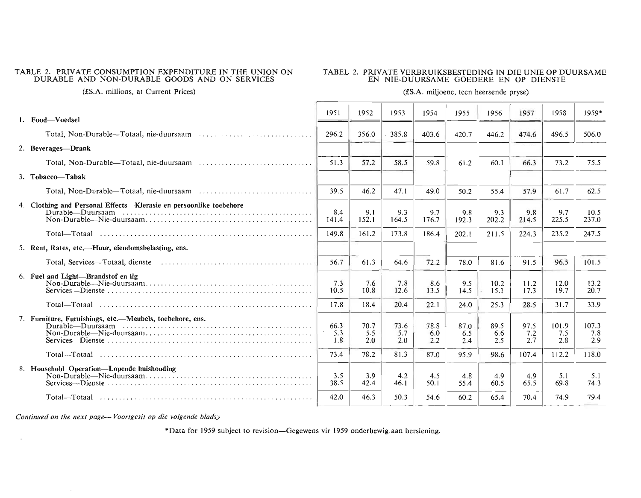#### TABLE 2. PRIVATE CONSUMPTION EXPENDITURE IN THE UNION ON DURABLE AND NON-DURABLE GOODS AND ON SERVICES

#### T ABEL 2. PRIVATE VERBRUIKSBESTEDING IN DIE UNIE OP DUURSAME EN NIE-DUURSAME GOEDERE EN OP DIENSTE

(£S.A. millions, at Current Prices)

#### (£S.A. miljoene, teen heersende pryse)

| 1. Food-Voedsel                                                    | 1951               | 1952               | 1953               | 1954               | 1955               | 1956               | 1957               | 1958                | 1959*               |
|--------------------------------------------------------------------|--------------------|--------------------|--------------------|--------------------|--------------------|--------------------|--------------------|---------------------|---------------------|
|                                                                    | 296.2              | 356.0              | 385.8              | 403.6              | 420.7              | 446.2              | 474.6              | 496.5               | 506.0               |
| 2. Beverages-Drank                                                 |                    |                    |                    |                    |                    |                    |                    |                     |                     |
|                                                                    | 51.3               | 57.2               | 58.5               | 59.8               | 61.2               | 60.1               | 66.3               | 73.2                | 75.5                |
| 3. Tobacco-Tabak                                                   |                    |                    |                    |                    |                    |                    |                    |                     |                     |
|                                                                    | 39.5               | 46.2               | 47.1               | 49.0               | 50.2               | 55.4               | 57.9               | 61.7                | 62.5                |
| 4. Clothing and Personal Effects—Klerasie en persoonlike toebehore | 8.4<br>141.4       | 9.1<br>152.1       | 9.3<br>164.5       | 9.7<br>176.7       | 9.8<br>192.3       | 9.3<br>202.2       | 9.8<br>214.5       | 9.7<br>225.5        | 10.5<br>237.0       |
|                                                                    | 149.8              | 161.2              | 173.8              | 186.4              | 202.1              | 211.5              | 224.3              | 235.2               | 247.5               |
| 5. Rent, Rates, etc.—Huur, eiendomsbelasting, ens.                 |                    |                    |                    |                    |                    |                    |                    |                     |                     |
|                                                                    | 56.7               | 61.3               | 64.6               | 72.2               | 78.0               | 81.6               | 91.5               | 96.5                | 101.5               |
| 6. Fuel and Light-Brandstof en lig                                 | 7.3<br>10.5        | 7.6<br>10.8        | 7.8<br>12.6        | 8.6<br>13.5        | 9.5<br>14.5        | 10.2<br>15.1       | 11.2<br>17.3       | 12.0<br>19.7        | 13.2<br>20.7        |
|                                                                    | 17.8               | 18.4               | 20.4               | 22.1               | 24.0               | 25.3               | 28.5               | 31.7                | 33.9                |
| 7. Furniture, Furnishings, etc.—Meubels, toebehore, ens.           | 66.3<br>5.3<br>1.8 | 70.7<br>5.5<br>2.0 | 73.6<br>5.7<br>2.0 | 78.8<br>6.0<br>2.2 | 87.0<br>6.5<br>2.4 | 89.5<br>6.6<br>2.5 | 97.5<br>7.2<br>2.7 | 101.9<br>7.5<br>2.8 | 107.3<br>7.8<br>2.9 |
|                                                                    | 73.4               | 78.2               | 81.3               | 87.0               | 95.9               | 98.6               | 107.4              | 112.2               | 118.0               |
| 8. Household Operation—Lopende huishouding                         | 3.5<br>38.5        | 3.9<br>42.4        | 4.2<br>46.1        | 4.5<br>50.1        | 4.8<br>55.4        | 4.9<br>60.5        | 4.9<br>65.5        | 5.1<br>69.8         | 5.1<br>74.3         |
|                                                                    | 42.0               | 46.3               | 50.3               | 54.6               | 60.2               | 65.4               | 70.4               | 74.9                | 79.4                |

*Continued on the next page- Voortgesit op die volgende bladsy* 

 $\sim$ 

 $\sim$ 

·Data for 1959 subject to revision-Gegewens vir 1959 onderhewigaan hersiening.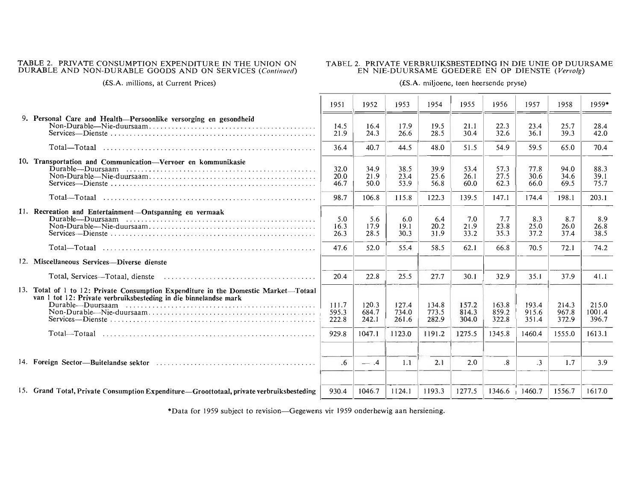# TABLE 2. PRIVATE CONSUMPTION EXPENDITURE IN THE UNION ON DURABLE AND NON-DURABLE GOODS AND ON SERVICES *(Continued)*

# TABEL 2. PRIVATE VERBRUIKSBESTEDING IN DIE UNIE OP DUURSAME EN NIE-DUURSAME GOEDERE EN OP DIENSTE *(Vervolg)*

(£S.A. millions, at Current Prices)

#### (£S.A. miljoene, teen heersende pryse)

|                                                                                                                                                         | 1951                    | 1952                    | 1953                    | 1954                    | 1955                    | 1956                    | 1957                    | 1958                    | $1959*$                  |
|---------------------------------------------------------------------------------------------------------------------------------------------------------|-------------------------|-------------------------|-------------------------|-------------------------|-------------------------|-------------------------|-------------------------|-------------------------|--------------------------|
| 9. Personal Care and Health-Persoonlike versorging en gesondheid                                                                                        | 14.5<br>21.9            | 16.4<br>24.3            | 17.9<br>26.6            | 19.5<br>28.5            | 21.1<br>30.4            | 22.3<br>32.6            | 23.4<br>36.1            | 25.7<br>39.3            | 28.4<br>42.0             |
| Total—Totaal                                                                                                                                            | 36.4                    | 40.7                    | 44.5                    | 48.0                    | 51.5                    | 54.9                    | 59.5                    | 65.0                    | 70.4                     |
| 10. Transportation and Communication-Vervoer en kommunikasie                                                                                            | 32.0<br>20.0<br>46.7    | 34.9<br>21.9<br>50.0    | 38.5<br>23.4<br>53.9    | 39.9<br>25.6<br>56.8    | 53.4<br>26.1<br>60.0    | 57.3<br>27.5<br>62.3    | 77.8<br>30.6<br>66.0    | 94.0<br>34.6<br>69.5    | 88.3<br>39.1<br>75.7     |
|                                                                                                                                                         | 98.7                    | 106.8                   | 115.8                   | 122.3                   | 139.5                   | 147.1                   | 174.4                   | 198.1                   | 203.1                    |
| 11. Recreation and Entertainment-Ontspanning en vermaak                                                                                                 | 5.0<br>16.3<br>26.3     | 5.6<br>17.9<br>28.5     | 6.0<br>19.1<br>30.3     | 6.4<br>20.2<br>31.9     | 7.0<br>21.9<br>33.2     | 7.7<br>23.8<br>35.3     | 8.3<br>25.0<br>37.2     | 8.7<br>26.0<br>37.4     | 8.9<br>26.8<br>38.5      |
|                                                                                                                                                         | 47.6                    | 52.0                    | 55.4                    | 58.5                    | 62.1                    | 66.8                    | 70.5                    | <b>72.1</b>             | 74.2                     |
| 12. Miscellaneous Services—Diverse dienste                                                                                                              |                         |                         |                         |                         |                         |                         |                         |                         |                          |
|                                                                                                                                                         | 20.4                    | 22.8                    | 25.5                    | 27.7                    | 30.1                    | 32.9                    | 35.1                    | 37.9                    | 41.1                     |
| 13. Total of 1 to 12: Private Consumption Expenditure in the Domestic Market-Totaal<br>van 1 tot 12: Private verbruiksbesteding in die binnelandse mark | 111.7<br>595.3<br>222.8 | 120.3<br>684.7<br>242.1 | 127.4<br>734.0<br>261.6 | 134.8<br>773.5<br>282.9 | 157.2<br>814.3<br>304.0 | 163.8<br>859.2<br>322.8 | 193.4<br>915.6<br>351.4 | 214.3<br>967.8<br>372.9 | 215.0<br>1001.4<br>396.7 |
|                                                                                                                                                         | 929.8                   | 1047.1                  | 1123.0                  | 1191.2                  | 1275.5                  | 1345.8                  | 1460.4                  | 1555.0                  | 1613.1                   |
|                                                                                                                                                         | $.6\phantom{0}$         | $-4$                    | 1.1                     | 2.1                     | 2.0                     | .8                      | $\cdot$ 3               | 1.7                     | 3.9                      |
| 15. Grand Total, Private Consumption Expenditure-Groottotaal, private verbruiksbesteding                                                                | 930.4                   | 1046.7                  | 1124.1                  | 1193.3                  | 1277.5                  | 1346.6 1460.7           |                         | 1556.7                  | 1617.0                   |

\*Data for 1959 subject to revision-Gegewens vir 1959 onderhewig aan hersiening.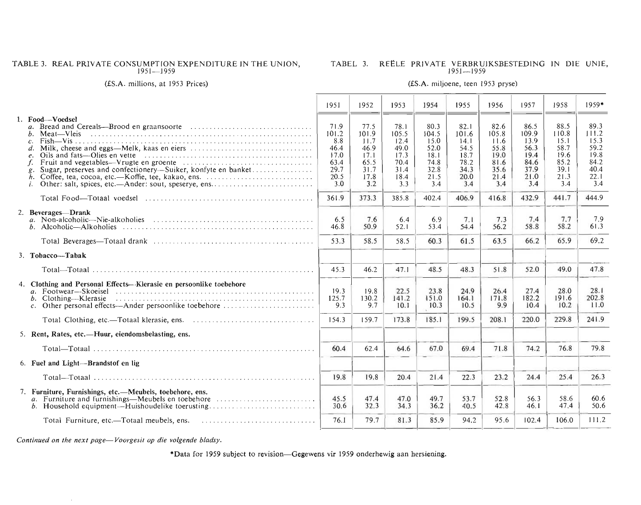#### TABLE 3. REAL PRIVATE CONSUMPTION EXPENDITURE IN THE UNION.  $951 - 1959$

# TABEL 3. REËLE PRIVATE VERBRUIKSBESTEDING IN DIE UNIE,

#### (£S.A. millions, at 1953 Prices) (£S.A. miljoene, teen 1953 pryse)

|                                                                                                                                                                                                     | 1951                                                                | 1952                                                                 | 1953                                                                 | 1954                                                                 | 1955                                                                 | 1956                                                                 | 1957                                                                 | 1958                                                                 | $1959*$                                                              |
|-----------------------------------------------------------------------------------------------------------------------------------------------------------------------------------------------------|---------------------------------------------------------------------|----------------------------------------------------------------------|----------------------------------------------------------------------|----------------------------------------------------------------------|----------------------------------------------------------------------|----------------------------------------------------------------------|----------------------------------------------------------------------|----------------------------------------------------------------------|----------------------------------------------------------------------|
| 1. Food-Voedsel<br>$\mathfrak{a}$ .<br>Meat—Vleis<br>$\mathcal{C}$ .<br>Sugar, preserves and confectionery--Suiker, konfyte en banket<br>Other: salt, spices, etc.—Ander: sout, speserve, ens<br>i. | 71.9<br>101.2<br>8.8<br>46.4<br>17.0<br>63.4<br>29.7<br>20.5<br>3.0 | 77.5<br>101.9<br>11.7<br>46.9<br>17.1<br>65.5<br>31.7<br>17.8<br>3.2 | 78.I<br>105.5<br>12.4<br>49.0<br>17.3<br>70.4<br>31.4<br>18.4<br>3.3 | 80.3<br>104.5<br>15.0<br>52.0<br>18.1<br>74.8<br>32.8<br>21.5<br>3.4 | 82.1<br>101.6<br>14.1<br>54.5<br>18.7<br>78.2<br>34.3<br>20.0<br>3.4 | 82.6<br>105.8<br>11.6<br>55.8<br>19.0<br>81.6<br>35.6<br>21.4<br>3.4 | 86.5<br>109.9<br>13.9<br>56.3<br>19.4<br>84.6<br>37.9<br>21.0<br>3.4 | 88.5<br>110.8<br>15.1<br>58.7<br>19.6<br>85.2<br>39.1<br>21.3<br>3,4 | 89.3<br>111.2<br>15.3<br>59.2<br>19.8<br>84.2<br>40.4<br>22.1<br>3.4 |
|                                                                                                                                                                                                     | 361.9                                                               | 373.3                                                                | 385.8                                                                | 402.4                                                                | 406.9                                                                | 416.8                                                                | 432.9                                                                | 441.7                                                                | 444.9                                                                |
| 2. Beverages-Drank<br>b. Alcoholic—Alkoholies                                                                                                                                                       | 6.5<br>46.8                                                         | 7.6<br>50.9                                                          | 6.4<br>52.1                                                          | 6.9<br>53.4                                                          | 7.1<br>54.4                                                          | 7.3<br>56.2                                                          | 7.4<br>58.8                                                          | 7.7<br>58.2                                                          | 7.9<br>61.3                                                          |
|                                                                                                                                                                                                     | 53.3                                                                | 58.5                                                                 | 58.5                                                                 | 60.3                                                                 | 61.5                                                                 | 63.5                                                                 | 66.2                                                                 | 65.9                                                                 | 69.2                                                                 |
| 3. Tobacco-Tabak                                                                                                                                                                                    |                                                                     |                                                                      |                                                                      |                                                                      |                                                                      |                                                                      |                                                                      |                                                                      |                                                                      |
|                                                                                                                                                                                                     | 45.3                                                                | 46.2                                                                 | 47.1                                                                 | 48.5                                                                 | 48.3                                                                 | 51.8                                                                 | 52.0                                                                 | 49.0                                                                 | 47.8                                                                 |
| 4. Clothing and Personal Effects—Klerasie en persoonlike toebehore<br>b. Clothing-Klerasie<br>c. Other personal effects—Ander persoonlike toebehore                                                 | 19.3<br>125.7<br>9.3                                                | 19.8<br>130.2<br>9.7                                                 | 22.5<br>141.2<br>10.1                                                | 23.8<br>151.0<br>10.3                                                | 24.9<br>164.1<br>10.5                                                | 26.4<br>171.8<br>9.9                                                 | 27.4<br>182.2<br>10.4                                                | 28.0<br>191.6<br>10.2                                                | 28.1<br>202.8<br>11.0                                                |
|                                                                                                                                                                                                     | 154.3                                                               | 159.7                                                                | 173.8                                                                | 185.1                                                                | 199.5                                                                | 208.1                                                                | 220.0                                                                | 229.8                                                                | 241.9                                                                |
| 5. Rent, Rates, etc.—Huur, eiendomsbelasting, ens.                                                                                                                                                  |                                                                     |                                                                      |                                                                      |                                                                      |                                                                      |                                                                      |                                                                      |                                                                      |                                                                      |
|                                                                                                                                                                                                     | 60.4                                                                | 62.4                                                                 | 64.6                                                                 | 67.0                                                                 | 69.4                                                                 | 71.8                                                                 | 74.2                                                                 | 76.8                                                                 | 79.8                                                                 |
| 6. Fuel and Light-Brandstof en lig                                                                                                                                                                  |                                                                     |                                                                      |                                                                      |                                                                      |                                                                      |                                                                      |                                                                      |                                                                      |                                                                      |
|                                                                                                                                                                                                     | 19.8                                                                | 19.8                                                                 | 20.4                                                                 | 21.4                                                                 | 22.3                                                                 | 23.2                                                                 | 24.4                                                                 | 25.4                                                                 | 26.3                                                                 |
| 7. Farniture, Furnishings, etc.—Meubels, toebehore, ens.<br>a. Furniture and furnishings—Meubels en toebehore<br>b. Household equipment—Huishoudelike toerusting                                    | 45.5<br>30.6                                                        | 47.4<br>32.3                                                         | 47.0<br>34.3                                                         | 49.7<br>36.2                                                         | 53.7<br>40.5                                                         | 52.8<br>42.8                                                         | 56.3<br>46.1                                                         | 58.6<br>47.4                                                         | 60.6<br>50.6                                                         |
|                                                                                                                                                                                                     | 76.1                                                                | 79.7                                                                 | 81.3                                                                 | 85.9                                                                 | 94.2                                                                 | 95.6                                                                 | 102.4                                                                | 106.0                                                                | 111.2                                                                |

*Continued on the next page-Voorgesit op die volgende bladsy.* 

 $\sim$ 

·Data for 1959 subject to revision-Gegewens vir 1959 onderhewig aan hersiening.